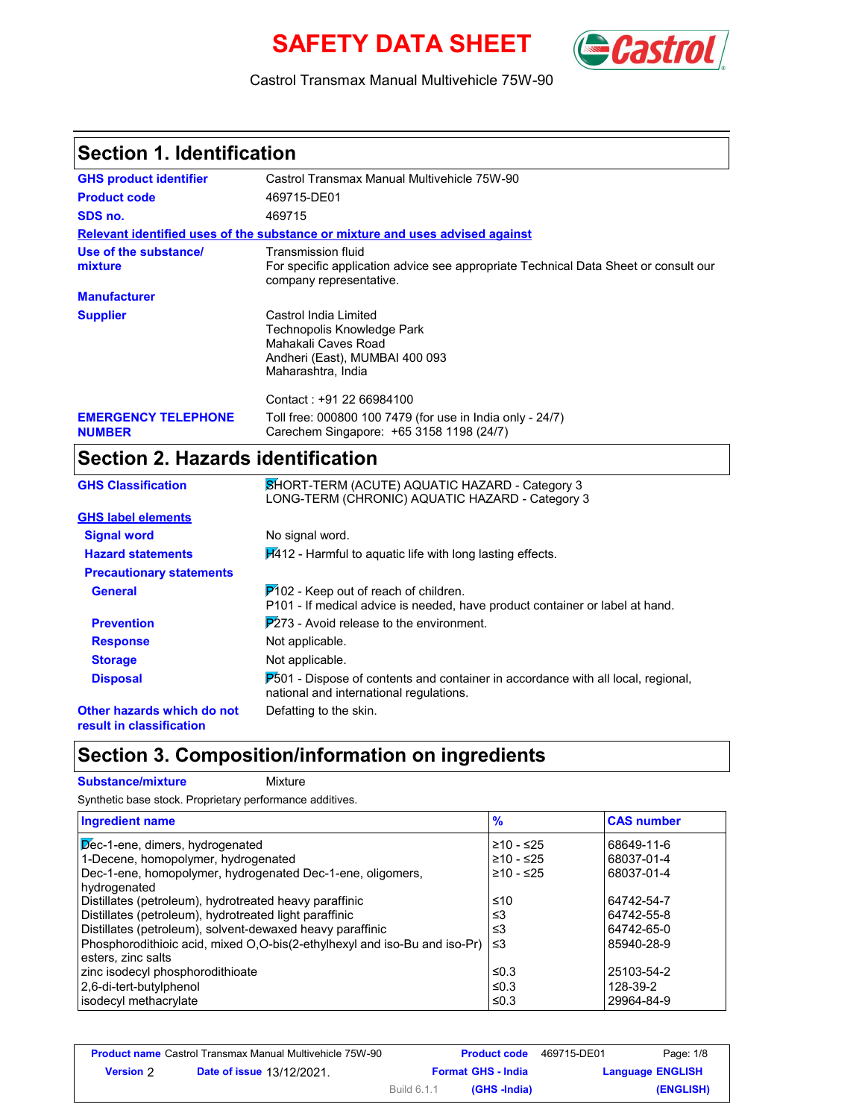# **SAFETY DATA SHEET** *Castrol*



#### Castrol Transmax Manual Multivehicle 75W-90

| <b>Section 1. Identification</b>                       |                                                                                                                                             |
|--------------------------------------------------------|---------------------------------------------------------------------------------------------------------------------------------------------|
| <b>GHS product identifier</b>                          | Castrol Transmax Manual Multivehicle 75W-90                                                                                                 |
| <b>Product code</b>                                    | 469715-DE01                                                                                                                                 |
| SDS no.                                                | 469715                                                                                                                                      |
|                                                        | Relevant identified uses of the substance or mixture and uses advised against                                                               |
| Use of the substance/<br>mixture                       | <b>Transmission fluid</b><br>For specific application advice see appropriate Technical Data Sheet or consult our<br>company representative. |
| <b>Manufacturer</b>                                    |                                                                                                                                             |
| <b>Supplier</b>                                        | Castrol India Limited<br>Technopolis Knowledge Park<br>Mahakali Caves Road<br>Andheri (East), MUMBAI 400 093<br>Maharashtra, India          |
| <b>EMERGENCY TELEPHONE</b><br><b>NUMBER</b>            | Contact: +91 22 66984100<br>Toll free: 000800 100 7479 (for use in India only - 24/7)<br>Carechem Singapore: +65 3158 1198 (24/7)           |
| <b>Section 2. Hazards identification</b>               |                                                                                                                                             |
| <b>GHS Classification</b>                              | SHORT-TERM (ACUTE) AQUATIC HAZARD - Category 3<br>LONG-TERM (CHRONIC) AQUATIC HAZARD - Category 3                                           |
| <b>GHS label elements</b>                              |                                                                                                                                             |
| <b>Signal word</b>                                     | No signal word.                                                                                                                             |
| <b>Hazard statements</b>                               | $\overline{1412}$ - Harmful to aquatic life with long lasting effects.                                                                      |
| <b>Precautionary statements</b>                        |                                                                                                                                             |
| <b>General</b>                                         | $P$ 102 - Keep out of reach of children.<br>P101 - If medical advice is needed, have product container or label at hand.                    |
| <b>Prevention</b>                                      | $P273$ - Avoid release to the environment.                                                                                                  |
| <b>Response</b>                                        | Not applicable.                                                                                                                             |
| <b>Storage</b>                                         | Not applicable.                                                                                                                             |
| <b>Disposal</b>                                        | $P_{0.01}$ - Dispose of contents and container in accordance with all local, regional,<br>national and international regulations.           |
| Other hazards which do not<br>result in classification | Defatting to the skin.                                                                                                                      |

## **Section 3. Composition/information on ingredients**

**Substance/mixture Mixture** Synthetic base stock. Proprietary performance additives.

| <b>Ingredient name</b>                                                    | $\frac{9}{6}$ | <b>CAS number</b> |
|---------------------------------------------------------------------------|---------------|-------------------|
| Dec-1-ene, dimers, hydrogenated                                           | $≥10 - ≤25$   | 68649-11-6        |
| 1-Decene, homopolymer, hydrogenated                                       | $≥10 - ≤25$   | 68037-01-4        |
| Dec-1-ene, homopolymer, hydrogenated Dec-1-ene, oligomers,                | ≥10 - ≤25     | 68037-01-4        |
| hydrogenated                                                              |               |                   |
| Distillates (petroleum), hydrotreated heavy paraffinic                    | ≤10           | 64742-54-7        |
| Distillates (petroleum), hydrotreated light paraffinic                    | ≤3            | 64742-55-8        |
| Distillates (petroleum), solvent-dewaxed heavy paraffinic                 | ≤3            | 64742-65-0        |
| Phosphorodithioic acid, mixed O,O-bis(2-ethylhexyl and iso-Bu and iso-Pr) | ا≥ا           | 85940-28-9        |
| esters, zinc salts                                                        |               |                   |
| zinc isodecyl phosphorodithioate                                          | ≤0.3          | 25103-54-2        |
| 2,6-di-tert-butylphenol                                                   | $\leq 0.3$    | 128-39-2          |
| isodecyl methacrylate                                                     | ≤0.3          | 29964-84-9        |

|           | <b>Product name</b> Castrol Transmax Manual Multivehicle 75W-90 |             | <b>Product code</b>       | 469715-DE01 | Page: 1/8               |
|-----------|-----------------------------------------------------------------|-------------|---------------------------|-------------|-------------------------|
| Version 2 | <b>Date of issue 13/12/2021.</b>                                |             | <b>Format GHS - India</b> |             | <b>Language ENGLISH</b> |
|           |                                                                 | Build 6.1.1 | (GHS -India)              |             | (ENGLISH)               |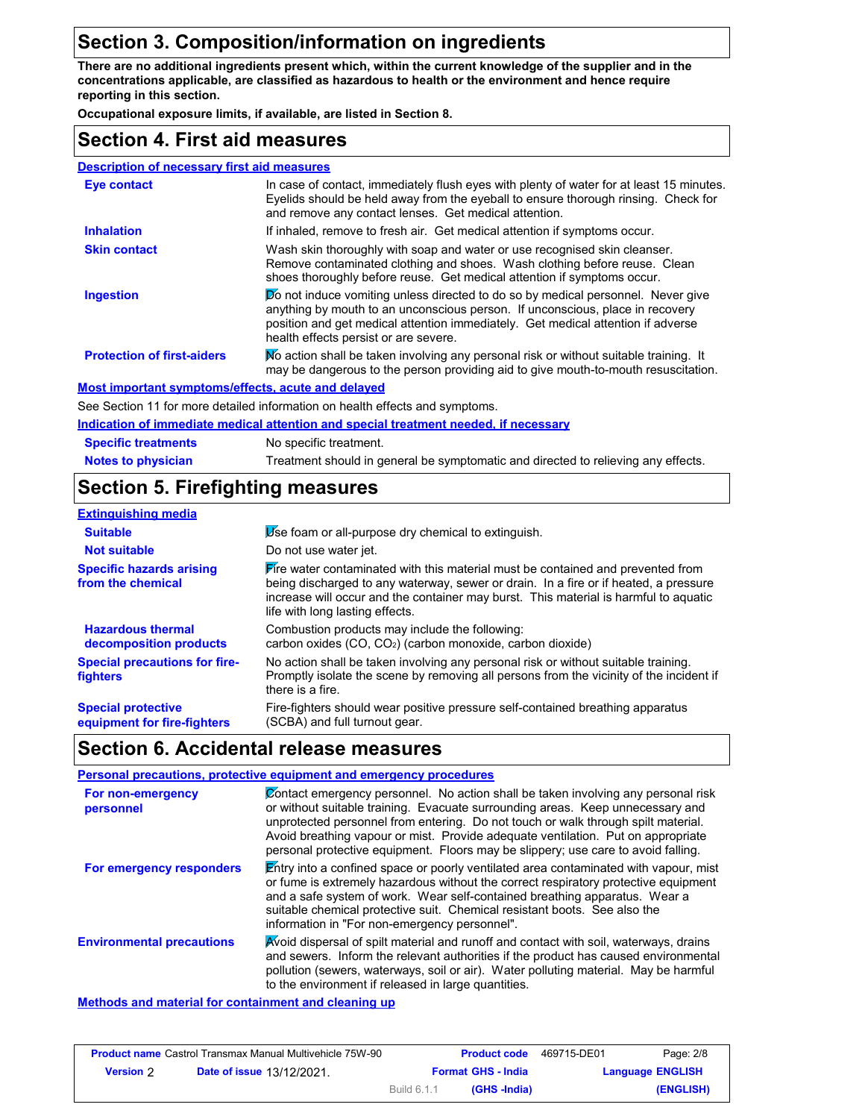## **Section 3. Composition/information on ingredients**

**There are no additional ingredients present which, within the current knowledge of the supplier and in the concentrations applicable, are classified as hazardous to health or the environment and hence require reporting in this section.**

**Occupational exposure limits, if available, are listed in Section 8.**

#### **Section 4. First aid measures**

| <b>Description of necessary first aid measures</b> |                                                                                                                                                                                                                                                                                                       |
|----------------------------------------------------|-------------------------------------------------------------------------------------------------------------------------------------------------------------------------------------------------------------------------------------------------------------------------------------------------------|
| Eye contact                                        | In case of contact, immediately flush eyes with plenty of water for at least 15 minutes.<br>Eyelids should be held away from the eyeball to ensure thorough rinsing. Check for<br>and remove any contact lenses. Get medical attention.                                                               |
| <b>Inhalation</b>                                  | If inhaled, remove to fresh air. Get medical attention if symptoms occur.                                                                                                                                                                                                                             |
| <b>Skin contact</b>                                | Wash skin thoroughly with soap and water or use recognised skin cleanser.<br>Remove contaminated clothing and shoes. Wash clothing before reuse. Clean<br>shoes thoroughly before reuse. Get medical attention if symptoms occur.                                                                     |
| <b>Ingestion</b>                                   | <b>Do</b> not induce vomiting unless directed to do so by medical personnel. Never give<br>anything by mouth to an unconscious person. If unconscious, place in recovery<br>position and get medical attention immediately. Get medical attention if adverse<br>health effects persist or are severe. |
| <b>Protection of first-aiders</b>                  | No action shall be taken involving any personal risk or without suitable training. It<br>may be dangerous to the person providing aid to give mouth-to-mouth resuscitation.                                                                                                                           |
| Most important symptoms/effects, acute and delayed |                                                                                                                                                                                                                                                                                                       |
|                                                    | See Section 11 for more detailed information on health effects and symptoms.                                                                                                                                                                                                                          |
|                                                    |                                                                                                                                                                                                                                                                                                       |

#### **Indication of immediate medical attention and special treatment needed, if necessary**

| <b>Specific treatments</b> | No specific treatment.                                                            |
|----------------------------|-----------------------------------------------------------------------------------|
| <b>Notes to physician</b>  | Treatment should in general be symptomatic and directed to relieving any effects. |

## **Section 5. Firefighting measures**

| <b>Extinguishing media</b>                               |                                                                                                                                                                                                                                                                                                                         |
|----------------------------------------------------------|-------------------------------------------------------------------------------------------------------------------------------------------------------------------------------------------------------------------------------------------------------------------------------------------------------------------------|
| <b>Suitable</b>                                          | Use foam or all-purpose dry chemical to extinguish.                                                                                                                                                                                                                                                                     |
| <b>Not suitable</b>                                      | Do not use water jet.                                                                                                                                                                                                                                                                                                   |
| <b>Specific hazards arising</b><br>from the chemical     | $\blacktriangleright$ fre water contaminated with this material must be contained and prevented from<br>being discharged to any waterway, sewer or drain. In a fire or if heated, a pressure<br>increase will occur and the container may burst. This material is harmful to aguatic<br>life with long lasting effects. |
| <b>Hazardous thermal</b><br>decomposition products       | Combustion products may include the following:<br>carbon oxides (CO, CO <sub>2</sub> ) (carbon monoxide, carbon dioxide)                                                                                                                                                                                                |
| <b>Special precautions for fire-</b><br>fighters         | No action shall be taken involving any personal risk or without suitable training.<br>Promptly isolate the scene by removing all persons from the vicinity of the incident if<br>there is a fire.                                                                                                                       |
| <b>Special protective</b><br>equipment for fire-fighters | Fire-fighters should wear positive pressure self-contained breathing apparatus<br>(SCBA) and full turnout gear.                                                                                                                                                                                                         |

#### **Section 6. Accidental release measures**

|                                  | Personal precautions, protective equipment and emergency procedures                                                                                                                                                                                                                                                                                                                                                               |
|----------------------------------|-----------------------------------------------------------------------------------------------------------------------------------------------------------------------------------------------------------------------------------------------------------------------------------------------------------------------------------------------------------------------------------------------------------------------------------|
| For non-emergency<br>personnel   | Contact emergency personnel. No action shall be taken involving any personal risk<br>or without suitable training. Evacuate surrounding areas. Keep unnecessary and<br>unprotected personnel from entering. Do not touch or walk through spilt material.<br>Avoid breathing vapour or mist. Provide adequate ventilation. Put on appropriate<br>personal protective equipment. Floors may be slippery; use care to avoid falling. |
| For emergency responders         | Entry into a confined space or poorly ventilated area contaminated with vapour, mist<br>or fume is extremely hazardous without the correct respiratory protective equipment<br>and a safe system of work. Wear self-contained breathing apparatus. Wear a<br>suitable chemical protective suit. Chemical resistant boots. See also the<br>information in "For non-emergency personnel".                                           |
| <b>Environmental precautions</b> | Avoid dispersal of spilt material and runoff and contact with soil, waterways, drains<br>and sewers. Inform the relevant authorities if the product has caused environmental<br>pollution (sewers, waterways, soil or air). Water polluting material. May be harmful<br>to the environment if released in large quantities.                                                                                                       |
|                                  |                                                                                                                                                                                                                                                                                                                                                                                                                                   |

#### **Methods and material for containment and cleaning up**

| Page: 2/8               | 469715-DE01 | <b>Product code</b>       |             | <b>Product name</b> Castrol Transmax Manual Multivehicle 75W-90 |                  |
|-------------------------|-------------|---------------------------|-------------|-----------------------------------------------------------------|------------------|
| <b>Language ENGLISH</b> |             | <b>Format GHS - India</b> |             | <b>Date of issue 13/12/2021</b>                                 | <b>Version</b> 2 |
| (ENGLISH)               |             | (GHS -India)              | Build 6.1.1 |                                                                 |                  |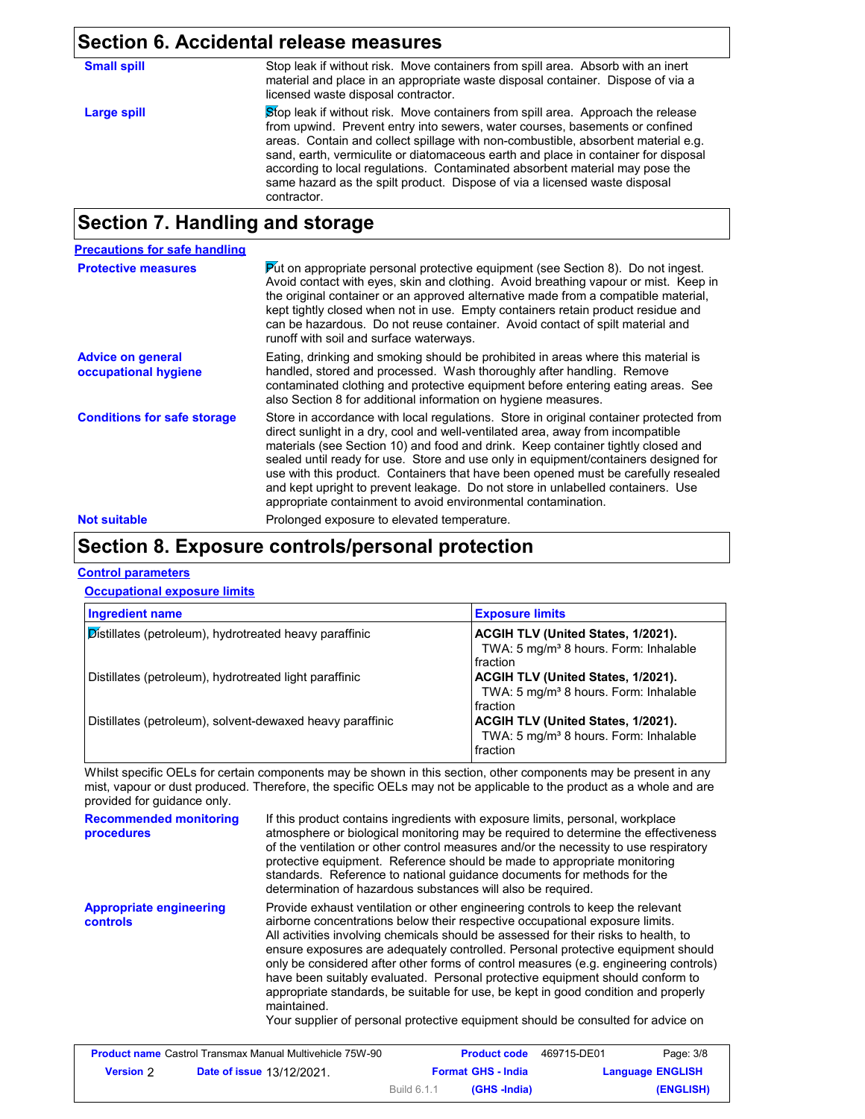## **Section 6. Accidental release measures**

| <b>Small spill</b> | Stop leak if without risk. Move containers from spill area. Absorb with an inert<br>material and place in an appropriate waste disposal container. Dispose of via a<br>licensed waste disposal contractor.                                                                                                                                                                                                                                                                                                               |
|--------------------|--------------------------------------------------------------------------------------------------------------------------------------------------------------------------------------------------------------------------------------------------------------------------------------------------------------------------------------------------------------------------------------------------------------------------------------------------------------------------------------------------------------------------|
| Large spill        | Stop leak if without risk. Move containers from spill area. Approach the release<br>from upwind. Prevent entry into sewers, water courses, basements or confined<br>areas. Contain and collect spillage with non-combustible, absorbent material e.g.<br>sand, earth, vermiculite or diatomaceous earth and place in container for disposal<br>according to local regulations. Contaminated absorbent material may pose the<br>same hazard as the spilt product. Dispose of via a licensed waste disposal<br>contractor. |

## **Section 7. Handling and storage**

| <b>Precautions for safe handling</b>             |                                                                                                                                                                                                                                                                                                                                                                                                                                                                                                                                                                                                |
|--------------------------------------------------|------------------------------------------------------------------------------------------------------------------------------------------------------------------------------------------------------------------------------------------------------------------------------------------------------------------------------------------------------------------------------------------------------------------------------------------------------------------------------------------------------------------------------------------------------------------------------------------------|
| <b>Protective measures</b>                       | Put on appropriate personal protective equipment (see Section 8). Do not ingest.<br>Avoid contact with eyes, skin and clothing. Avoid breathing vapour or mist. Keep in<br>the original container or an approved alternative made from a compatible material.<br>kept tightly closed when not in use. Empty containers retain product residue and<br>can be hazardous. Do not reuse container. Avoid contact of spilt material and<br>runoff with soil and surface waterways.                                                                                                                  |
| <b>Advice on general</b><br>occupational hygiene | Eating, drinking and smoking should be prohibited in areas where this material is<br>handled, stored and processed. Wash thoroughly after handling. Remove<br>contaminated clothing and protective equipment before entering eating areas. See<br>also Section 8 for additional information on hygiene measures.                                                                                                                                                                                                                                                                               |
| <b>Conditions for safe storage</b>               | Store in accordance with local regulations. Store in original container protected from<br>direct sunlight in a dry, cool and well-ventilated area, away from incompatible<br>materials (see Section 10) and food and drink. Keep container tightly closed and<br>sealed until ready for use. Store and use only in equipment/containers designed for<br>use with this product. Containers that have been opened must be carefully resealed<br>and kept upright to prevent leakage. Do not store in unlabelled containers. Use<br>appropriate containment to avoid environmental contamination. |
| <b>Not suitable</b>                              | Prolonged exposure to elevated temperature.                                                                                                                                                                                                                                                                                                                                                                                                                                                                                                                                                    |

## **Section 8. Exposure controls/personal protection**

#### **Control parameters**

#### **Occupational exposure limits**

| <b>Ingredient name</b>                                    | <b>Exposure limits</b>                                                                                     |
|-----------------------------------------------------------|------------------------------------------------------------------------------------------------------------|
| Distillates (petroleum), hydrotreated heavy paraffinic    | <b>ACGIH TLV (United States, 1/2021).</b><br>TWA: 5 mg/m <sup>3</sup> 8 hours. Form: Inhalable<br>fraction |
| Distillates (petroleum), hydrotreated light paraffinic    | <b>ACGIH TLV (United States, 1/2021).</b><br>TWA: 5 mg/m <sup>3</sup> 8 hours. Form: Inhalable<br>fraction |
| Distillates (petroleum), solvent-dewaxed heavy paraffinic | <b>ACGIH TLV (United States, 1/2021).</b><br>TWA: 5 mg/m <sup>3</sup> 8 hours. Form: Inhalable<br>fraction |

Whilst specific OELs for certain components may be shown in this section, other components may be present in any mist, vapour or dust produced. Therefore, the specific OELs may not be applicable to the product as a whole and are provided for guidance only.

| <b>Recommended monitoring</b><br>procedures | If this product contains ingredients with exposure limits, personal, workplace<br>atmosphere or biological monitoring may be required to determine the effectiveness<br>of the ventilation or other control measures and/or the necessity to use respiratory<br>protective equipment. Reference should be made to appropriate monitoring<br>standards. Reference to national guidance documents for methods for the<br>determination of hazardous substances will also be required.                                                                                                                                                                                                                         |
|---------------------------------------------|-------------------------------------------------------------------------------------------------------------------------------------------------------------------------------------------------------------------------------------------------------------------------------------------------------------------------------------------------------------------------------------------------------------------------------------------------------------------------------------------------------------------------------------------------------------------------------------------------------------------------------------------------------------------------------------------------------------|
| <b>Appropriate engineering</b><br>controls  | Provide exhaust ventilation or other engineering controls to keep the relevant<br>airborne concentrations below their respective occupational exposure limits.<br>All activities involving chemicals should be assessed for their risks to health, to<br>ensure exposures are adequately controlled. Personal protective equipment should<br>only be considered after other forms of control measures (e.g. engineering controls)<br>have been suitably evaluated. Personal protective equipment should conform to<br>appropriate standards, be suitable for use, be kept in good condition and properly<br>maintained.<br>Your supplier of personal protective equipment should be consulted for advice on |

|           | <b>Product name</b> Castrol Transmax Manual Multivehicle 75W-90 |             | <b>Product code</b>       | 469715-DE01 | Page: 3/8               |
|-----------|-----------------------------------------------------------------|-------------|---------------------------|-------------|-------------------------|
| Version 2 | <b>Date of issue 13/12/2021.</b>                                |             | <b>Format GHS - India</b> |             | <b>Language ENGLISH</b> |
|           |                                                                 | Build 6.1.1 | (GHS -India)              |             | (ENGLISH)               |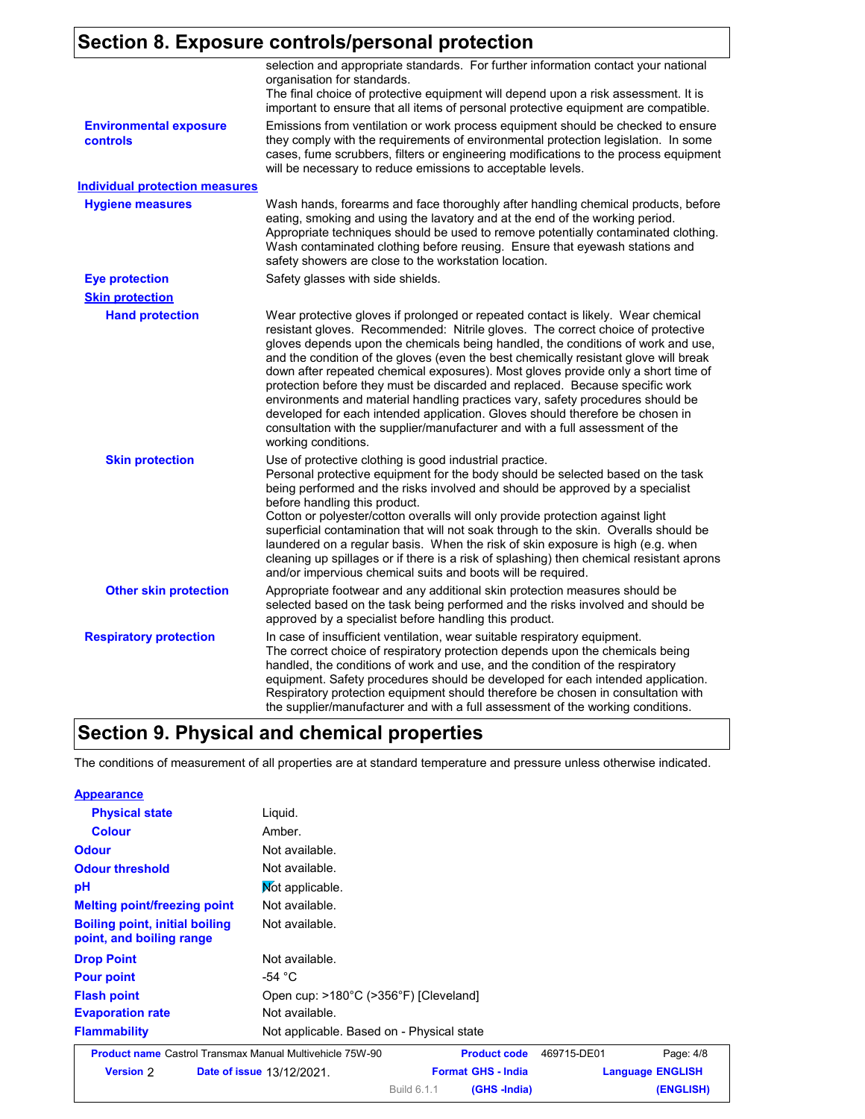## **Section 8. Exposure controls/personal protection**

|                                           | selection and appropriate standards. For further information contact your national<br>organisation for standards.<br>The final choice of protective equipment will depend upon a risk assessment. It is<br>important to ensure that all items of personal protective equipment are compatible.                                                                                                                                                                                                                                                                                                                                                                                                                                                                                                  |
|-------------------------------------------|-------------------------------------------------------------------------------------------------------------------------------------------------------------------------------------------------------------------------------------------------------------------------------------------------------------------------------------------------------------------------------------------------------------------------------------------------------------------------------------------------------------------------------------------------------------------------------------------------------------------------------------------------------------------------------------------------------------------------------------------------------------------------------------------------|
| <b>Environmental exposure</b><br>controls | Emissions from ventilation or work process equipment should be checked to ensure<br>they comply with the requirements of environmental protection legislation. In some<br>cases, fume scrubbers, filters or engineering modifications to the process equipment<br>will be necessary to reduce emissions to acceptable levels.                                                                                                                                                                                                                                                                                                                                                                                                                                                                   |
| <b>Individual protection measures</b>     |                                                                                                                                                                                                                                                                                                                                                                                                                                                                                                                                                                                                                                                                                                                                                                                                 |
| <b>Hygiene measures</b>                   | Wash hands, forearms and face thoroughly after handling chemical products, before<br>eating, smoking and using the lavatory and at the end of the working period.<br>Appropriate techniques should be used to remove potentially contaminated clothing.<br>Wash contaminated clothing before reusing. Ensure that eyewash stations and<br>safety showers are close to the workstation location.                                                                                                                                                                                                                                                                                                                                                                                                 |
| <b>Eye protection</b>                     | Safety glasses with side shields.                                                                                                                                                                                                                                                                                                                                                                                                                                                                                                                                                                                                                                                                                                                                                               |
| <b>Skin protection</b>                    |                                                                                                                                                                                                                                                                                                                                                                                                                                                                                                                                                                                                                                                                                                                                                                                                 |
| <b>Hand protection</b>                    | Wear protective gloves if prolonged or repeated contact is likely. Wear chemical<br>resistant gloves. Recommended: Nitrile gloves. The correct choice of protective<br>gloves depends upon the chemicals being handled, the conditions of work and use,<br>and the condition of the gloves (even the best chemically resistant glove will break<br>down after repeated chemical exposures). Most gloves provide only a short time of<br>protection before they must be discarded and replaced. Because specific work<br>environments and material handling practices vary, safety procedures should be<br>developed for each intended application. Gloves should therefore be chosen in<br>consultation with the supplier/manufacturer and with a full assessment of the<br>working conditions. |
| <b>Skin protection</b>                    | Use of protective clothing is good industrial practice.<br>Personal protective equipment for the body should be selected based on the task<br>being performed and the risks involved and should be approved by a specialist<br>before handling this product.<br>Cotton or polyester/cotton overalls will only provide protection against light<br>superficial contamination that will not soak through to the skin. Overalls should be<br>laundered on a regular basis. When the risk of skin exposure is high (e.g. when<br>cleaning up spillages or if there is a risk of splashing) then chemical resistant aprons<br>and/or impervious chemical suits and boots will be required.                                                                                                           |
| <b>Other skin protection</b>              | Appropriate footwear and any additional skin protection measures should be<br>selected based on the task being performed and the risks involved and should be<br>approved by a specialist before handling this product.                                                                                                                                                                                                                                                                                                                                                                                                                                                                                                                                                                         |
| <b>Respiratory protection</b>             | In case of insufficient ventilation, wear suitable respiratory equipment.<br>The correct choice of respiratory protection depends upon the chemicals being<br>handled, the conditions of work and use, and the condition of the respiratory<br>equipment. Safety procedures should be developed for each intended application.<br>Respiratory protection equipment should therefore be chosen in consultation with<br>the supplier/manufacturer and with a full assessment of the working conditions.                                                                                                                                                                                                                                                                                           |

## **Section 9. Physical and chemical properties**

The conditions of measurement of all properties are at standard temperature and pressure unless otherwise indicated.

| <b>Appearance</b>                                                 |                                                                 |                           |             |                         |
|-------------------------------------------------------------------|-----------------------------------------------------------------|---------------------------|-------------|-------------------------|
| <b>Physical state</b>                                             | Liquid.                                                         |                           |             |                         |
| <b>Colour</b>                                                     | Amber.                                                          |                           |             |                         |
| <b>Odour</b>                                                      | Not available.                                                  |                           |             |                         |
| <b>Odour threshold</b>                                            | Not available.                                                  |                           |             |                         |
| рH                                                                | Mot applicable.                                                 |                           |             |                         |
| <b>Melting point/freezing point</b>                               | Not available.                                                  |                           |             |                         |
| <b>Boiling point, initial boiling</b><br>point, and boiling range | Not available.                                                  |                           |             |                         |
| <b>Drop Point</b>                                                 | Not available.                                                  |                           |             |                         |
| <b>Pour point</b>                                                 | -54 $^{\circ}$ C                                                |                           |             |                         |
| <b>Flash point</b>                                                | Open cup: >180°C (>356°F) [Cleveland]                           |                           |             |                         |
| <b>Evaporation rate</b>                                           | Not available.                                                  |                           |             |                         |
| <b>Flammability</b>                                               | Not applicable. Based on - Physical state                       |                           |             |                         |
|                                                                   | <b>Product name Castrol Transmax Manual Multivehicle 75W-90</b> | <b>Product code</b>       | 469715-DE01 | Page: 4/8               |
| <b>Version 2</b>                                                  | <b>Date of issue 13/12/2021.</b>                                | <b>Format GHS - India</b> |             | <b>Language ENGLISH</b> |

Build 6.1.1

**(GHS -India) (ENGLISH)**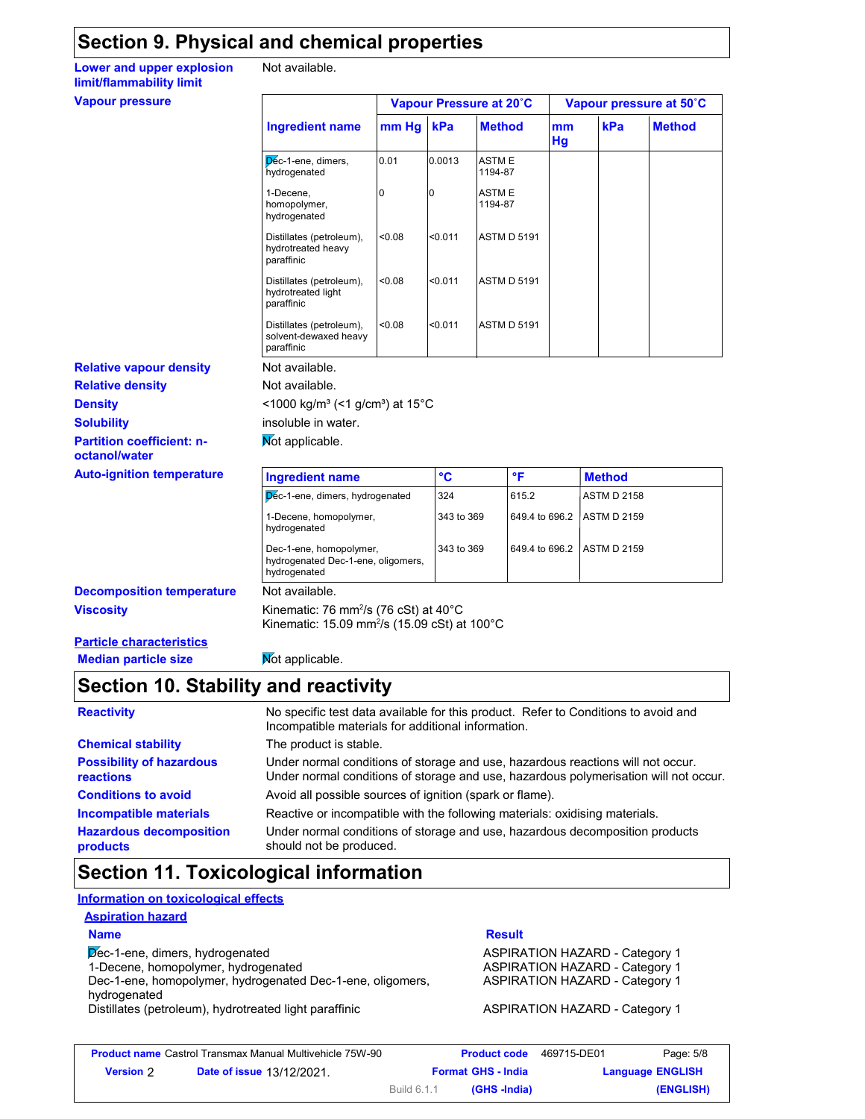## **Section 9. Physical and chemical properties**

**Lower and upper explosion** Not **limit/flammability limit**

Not available.

#### **Vapour pressure**

| Not available. |  |
|----------------|--|
|                |  |

|                                                                 |        | Vapour Pressure at 20°C |                         |          |     | Vapour pressure at 50°C |
|-----------------------------------------------------------------|--------|-------------------------|-------------------------|----------|-----|-------------------------|
| <b>Ingredient name</b>                                          | mm Hg  | kPa                     | <b>Method</b>           | mm<br>Hg | kPa | <b>Method</b>           |
| Dec-1-ene, dimers,<br>hydrogenated                              | 0.01   | 0.0013                  | <b>ASTME</b><br>1194-87 |          |     |                         |
| 1-Decene,<br>homopolymer,<br>hydrogenated                       | 0      | 0                       | <b>ASTME</b><br>1194-87 |          |     |                         |
| Distillates (petroleum),<br>hydrotreated heavy<br>paraffinic    | < 0.08 | < 0.011                 | <b>ASTM D 5191</b>      |          |     |                         |
| Distillates (petroleum),<br>hydrotreated light<br>paraffinic    | <0.08  | < 0.011                 | <b>ASTM D 5191</b>      |          |     |                         |
| Distillates (petroleum),<br>solvent-dewaxed heavy<br>paraffinic | < 0.08 | < 0.011                 | <b>ASTM D 5191</b>      |          |     |                         |
| Not available.                                                  |        |                         |                         |          |     |                         |
| Not available.                                                  |        |                         |                         |          |     |                         |

- **Relative vapour density**
- **Relative density**

**Density** <1000 kg/m<sup>3</sup> (<1 g/cm<sup>3</sup>) at 15°C

- **Solubility**
- **Partition coefficient: n-**
- **octanol/water**

| <b>Auto-ignition temperature</b> | <b>Ingredient name</b>                                                                                                              | °€         | °F             | <b>Method</b>       |  |
|----------------------------------|-------------------------------------------------------------------------------------------------------------------------------------|------------|----------------|---------------------|--|
|                                  | Dec-1-ene, dimers, hydrogenated                                                                                                     | 324        | 615.2          | <b>ASTM D 2158</b>  |  |
|                                  | 1-Decene, homopolymer.<br>hydrogenated                                                                                              | 343 to 369 | 649.4 to 696.2 | <b>ASTM D 2159</b>  |  |
|                                  | Dec-1-ene, homopolymer,<br>hydrogenated Dec-1-ene, oligomers,<br>hydrogenated                                                       | 343 to 369 | 649.4 to 696.2 | <b>LASTM D 2159</b> |  |
| <b>Decomposition temperature</b> | Not available.                                                                                                                      |            |                |                     |  |
| Viscositv                        | Kinematic: 76 mm <sup>2</sup> /s (76 cSt) at $40^{\circ}$ C<br>Kinematic: $15.09$ mm <sup>2</sup> /s (15.09 cSt) at $100^{\circ}$ C |            |                |                     |  |
| Dartiele eharaeterieties         |                                                                                                                                     |            |                |                     |  |

**Particle characteristics Median particle size** Not applicable.

insoluble in water. **Not applicable.** 

## **Section 10. Stability and reactivity**

| <b>Reactivity</b>                            | No specific test data available for this product. Refer to Conditions to avoid and<br>Incompatible materials for additional information.                                |  |  |  |
|----------------------------------------------|-------------------------------------------------------------------------------------------------------------------------------------------------------------------------|--|--|--|
| <b>Chemical stability</b>                    | The product is stable.                                                                                                                                                  |  |  |  |
| <b>Possibility of hazardous</b><br>reactions | Under normal conditions of storage and use, hazardous reactions will not occur.<br>Under normal conditions of storage and use, hazardous polymerisation will not occur. |  |  |  |
| <b>Conditions to avoid</b>                   | Avoid all possible sources of ignition (spark or flame).                                                                                                                |  |  |  |
| <b>Incompatible materials</b>                | Reactive or incompatible with the following materials: oxidising materials.                                                                                             |  |  |  |
| <b>Hazardous decomposition</b><br>products   | Under normal conditions of storage and use, hazardous decomposition products<br>should not be produced.                                                                 |  |  |  |

## **Section 11. Toxicological information**

#### **Information on toxicological effects**

#### **Aspiration hazard**

Dec-1-ene, dimers, hydrogenated ASPIRATION HAZARD - Category 1 1-Decene, homopolymer, hydrogenated **ASPIRATION HAZARD** - Category 1

Dec-1-ene, homopolymer, hydrogenated Dec-1-ene, oligomers, hydrogenated

#### Distillates (petroleum), hydrotreated light paraffinic **ASPIRATION HAZARD** - Category 1

#### **Name Result**

ASPIRATION HAZARD - Category 1

| <b>Product name</b> Castrol Transmax Manual Multivehicle 75W-90 |                                  |                           | <b>Product code</b> | 469715-DE01 | Page: 5/8               |
|-----------------------------------------------------------------|----------------------------------|---------------------------|---------------------|-------------|-------------------------|
| <b>Version</b> 2                                                | <b>Date of issue 13/12/2021.</b> | <b>Format GHS - India</b> |                     |             | <b>Language ENGLISH</b> |
|                                                                 |                                  | Build 6.1.1               | (GHS -India)        |             | (ENGLISH)               |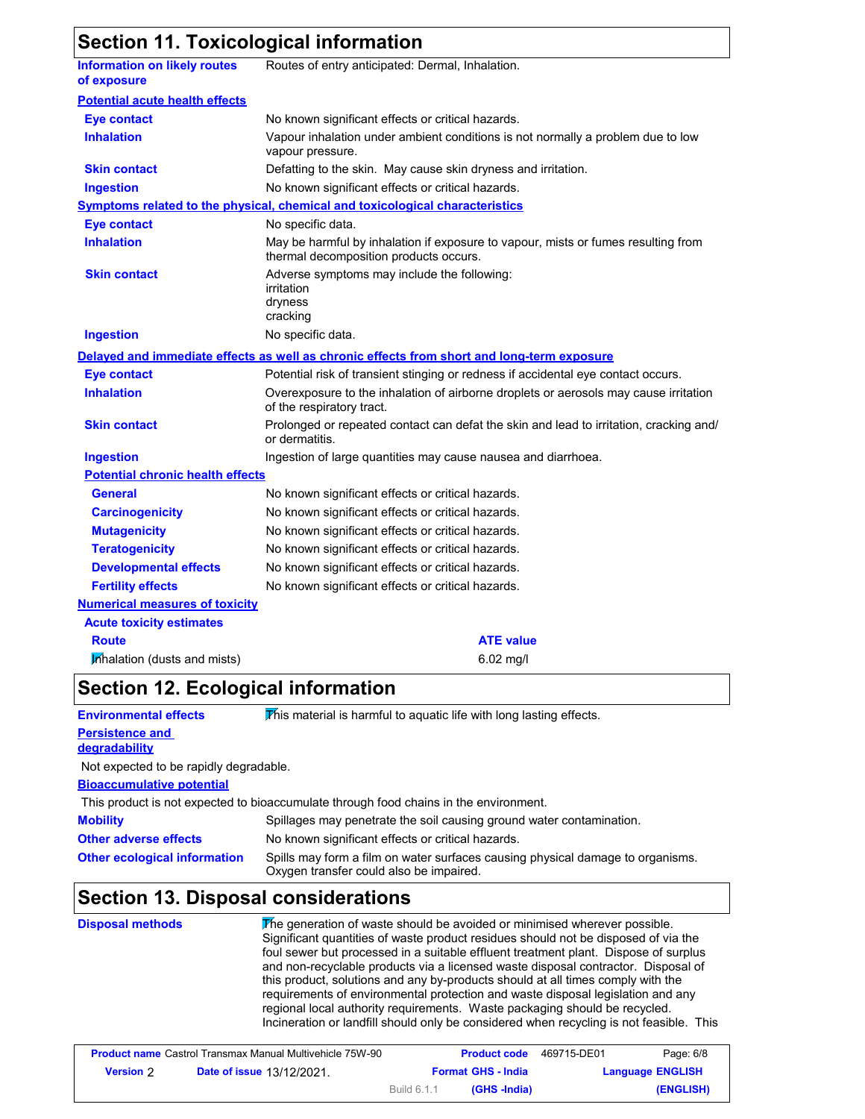## **Section 11. Toxicological information**

| <b>Information on likely routes</b><br>of exposure | Routes of entry anticipated: Dermal, Inhalation.                                                                            |
|----------------------------------------------------|-----------------------------------------------------------------------------------------------------------------------------|
| <b>Potential acute health effects</b>              |                                                                                                                             |
| <b>Eye contact</b>                                 | No known significant effects or critical hazards.                                                                           |
| <b>Inhalation</b>                                  | Vapour inhalation under ambient conditions is not normally a problem due to low<br>vapour pressure.                         |
| <b>Skin contact</b>                                | Defatting to the skin. May cause skin dryness and irritation.                                                               |
| <b>Ingestion</b>                                   | No known significant effects or critical hazards.                                                                           |
|                                                    | Symptoms related to the physical, chemical and toxicological characteristics                                                |
| <b>Eye contact</b>                                 | No specific data.                                                                                                           |
| <b>Inhalation</b>                                  | May be harmful by inhalation if exposure to vapour, mists or fumes resulting from<br>thermal decomposition products occurs. |
| <b>Skin contact</b>                                | Adverse symptoms may include the following:<br>irritation<br>dryness<br>cracking                                            |
| <b>Ingestion</b>                                   | No specific data.                                                                                                           |
|                                                    | Delayed and immediate effects as well as chronic effects from short and long-term exposure                                  |
| <b>Eye contact</b>                                 | Potential risk of transient stinging or redness if accidental eye contact occurs.                                           |
| <b>Inhalation</b>                                  | Overexposure to the inhalation of airborne droplets or aerosols may cause irritation<br>of the respiratory tract.           |
| <b>Skin contact</b>                                | Prolonged or repeated contact can defat the skin and lead to irritation, cracking and/<br>or dermatitis.                    |
| <b>Ingestion</b>                                   | Ingestion of large quantities may cause nausea and diarrhoea.                                                               |
| <b>Potential chronic health effects</b>            |                                                                                                                             |
| <b>General</b>                                     | No known significant effects or critical hazards.                                                                           |
| <b>Carcinogenicity</b>                             | No known significant effects or critical hazards.                                                                           |
| <b>Mutagenicity</b>                                | No known significant effects or critical hazards.                                                                           |
| <b>Teratogenicity</b>                              | No known significant effects or critical hazards.                                                                           |
| <b>Developmental effects</b>                       | No known significant effects or critical hazards.                                                                           |
| <b>Fertility effects</b>                           | No known significant effects or critical hazards.                                                                           |
| <b>Numerical measures of toxicity</b>              |                                                                                                                             |
| <b>Acute toxicity estimates</b>                    |                                                                                                                             |
| <b>Route</b>                                       | <b>ATE value</b>                                                                                                            |
| Inhalation (dusts and mists)                       | 6.02 mg/l                                                                                                                   |

## **Section 12. Ecological information**

**Mobility** Spillages may penetrate the soil causing ground water contamination. **Bioaccumulative potential Other adverse effects Persistence and degradability Environmental effects** This material is harmful to aquatic life with long lasting effects. **Other ecological information** Spills may form a film on water surfaces causing physical damage to organisms. Oxygen transfer could also be impaired. This product is not expected to bioaccumulate through food chains in the environment. Not expected to be rapidly degradable. No known significant effects or critical hazards.

## **Section 13. Disposal considerations**

| <b>Disposal methods</b> | The generation of waste should be avoided or minimised wherever possible.<br>Significant quantities of waste product residues should not be disposed of via the<br>foul sewer but processed in a suitable effluent treatment plant. Dispose of surplus<br>and non-recyclable products via a licensed waste disposal contractor. Disposal of<br>this product, solutions and any by-products should at all times comply with the<br>requirements of environmental protection and waste disposal legislation and any<br>regional local authority requirements. Waste packaging should be recycled.<br>Incineration or landfill should only be considered when recycling is not feasible. This |
|-------------------------|--------------------------------------------------------------------------------------------------------------------------------------------------------------------------------------------------------------------------------------------------------------------------------------------------------------------------------------------------------------------------------------------------------------------------------------------------------------------------------------------------------------------------------------------------------------------------------------------------------------------------------------------------------------------------------------------|
|                         |                                                                                                                                                                                                                                                                                                                                                                                                                                                                                                                                                                                                                                                                                            |

|                  | <b>Product name</b> Castrol Transmax Manual Multivehicle 75W-90 |             | <b>Product code</b>       | 469715-DE01 | Page: 6/8               |
|------------------|-----------------------------------------------------------------|-------------|---------------------------|-------------|-------------------------|
| <b>Version 2</b> | <b>Date of issue 13/12/2021.</b>                                |             | <b>Format GHS - India</b> |             | <b>Language ENGLISH</b> |
|                  |                                                                 | Build 6.1.1 | (GHS -India)              |             | (ENGLISH)               |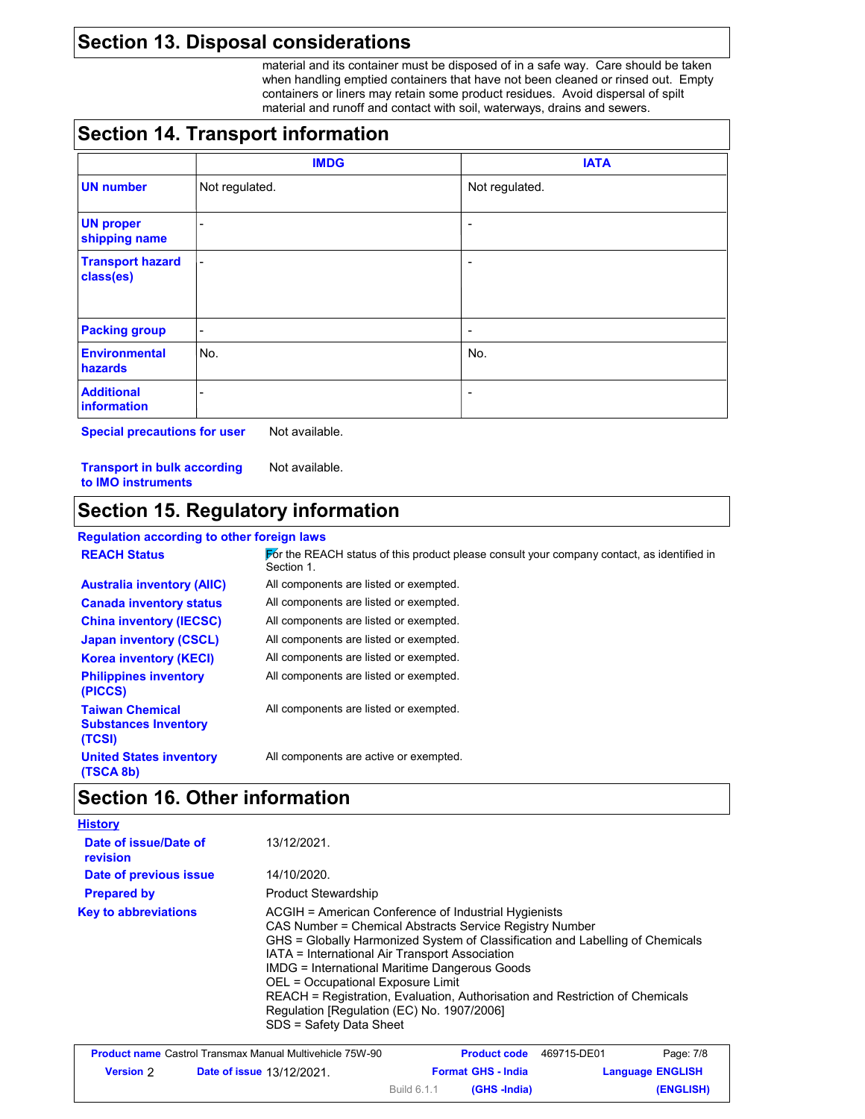## **Section 13. Disposal considerations**

material and its container must be disposed of in a safe way. Care should be taken when handling emptied containers that have not been cleaned or rinsed out. Empty containers or liners may retain some product residues. Avoid dispersal of spilt material and runoff and contact with soil, waterways, drains and sewers.

#### **Section 14. Transport information**

|                                      | <b>IMDG</b>              | <b>IATA</b>    |
|--------------------------------------|--------------------------|----------------|
| <b>UN number</b>                     | Not regulated.           | Not regulated. |
| <b>UN proper</b><br>shipping name    | $\overline{\phantom{a}}$ | ٠              |
| <b>Transport hazard</b><br>class(es) | $\blacksquare$           | ٠              |
| <b>Packing group</b>                 | $\overline{\phantom{a}}$ | ۰              |
| <b>Environmental</b><br>hazards      | No.                      | No.            |
| <b>Additional</b><br>information     | -                        |                |

**Special precautions for user** Not available.

**Transport in bulk according to IMO instruments** Not available.

#### **Section 15. Regulatory information**

#### **Regulation according to other foreign laws**

| <b>REACH Status</b>                                             | For the REACH status of this product please consult your company contact, as identified in<br>Section 1. |
|-----------------------------------------------------------------|----------------------------------------------------------------------------------------------------------|
| <b>Australia inventory (AIIC)</b>                               | All components are listed or exempted.                                                                   |
| <b>Canada inventory status</b>                                  | All components are listed or exempted.                                                                   |
| <b>China inventory (IECSC)</b>                                  | All components are listed or exempted.                                                                   |
| <b>Japan inventory (CSCL)</b>                                   | All components are listed or exempted.                                                                   |
| <b>Korea inventory (KECI)</b>                                   | All components are listed or exempted.                                                                   |
| <b>Philippines inventory</b><br>(PICCS)                         | All components are listed or exempted.                                                                   |
| <b>Taiwan Chemical</b><br><b>Substances Inventory</b><br>(TCSI) | All components are listed or exempted.                                                                   |
| <b>United States inventory</b><br>(TSCA 8b)                     | All components are active or exempted.                                                                   |

## **Section 16. Other information**

| <b>History</b>                    |                                                                                                                                                                                                                                                                                                                                                                                                                                                                                                          |
|-----------------------------------|----------------------------------------------------------------------------------------------------------------------------------------------------------------------------------------------------------------------------------------------------------------------------------------------------------------------------------------------------------------------------------------------------------------------------------------------------------------------------------------------------------|
| Date of issue/Date of<br>revision | 13/12/2021.                                                                                                                                                                                                                                                                                                                                                                                                                                                                                              |
| Date of previous issue            | 14/10/2020.                                                                                                                                                                                                                                                                                                                                                                                                                                                                                              |
| <b>Prepared by</b>                | <b>Product Stewardship</b>                                                                                                                                                                                                                                                                                                                                                                                                                                                                               |
| <b>Key to abbreviations</b>       | ACGIH = American Conference of Industrial Hygienists<br>CAS Number = Chemical Abstracts Service Registry Number<br>GHS = Globally Harmonized System of Classification and Labelling of Chemicals<br>IATA = International Air Transport Association<br><b>IMDG = International Maritime Dangerous Goods</b><br>OEL = Occupational Exposure Limit<br>REACH = Registration, Evaluation, Authorisation and Restriction of Chemicals<br>Regulation [Regulation (EC) No. 1907/2006]<br>SDS = Safety Data Sheet |

| <b>Product name</b> Castrol Transmax Manual Multivehicle 75W-90 |                                  |                           | <b>Product code</b> | 469715-DE01             | Page: 7/8 |
|-----------------------------------------------------------------|----------------------------------|---------------------------|---------------------|-------------------------|-----------|
| <b>Version</b> 2                                                | <b>Date of issue 13/12/2021.</b> | <b>Format GHS - India</b> |                     | <b>Language ENGLISH</b> |           |
|                                                                 |                                  | Build 6.1.1               | (GHS -India)        |                         | (ENGLISH) |